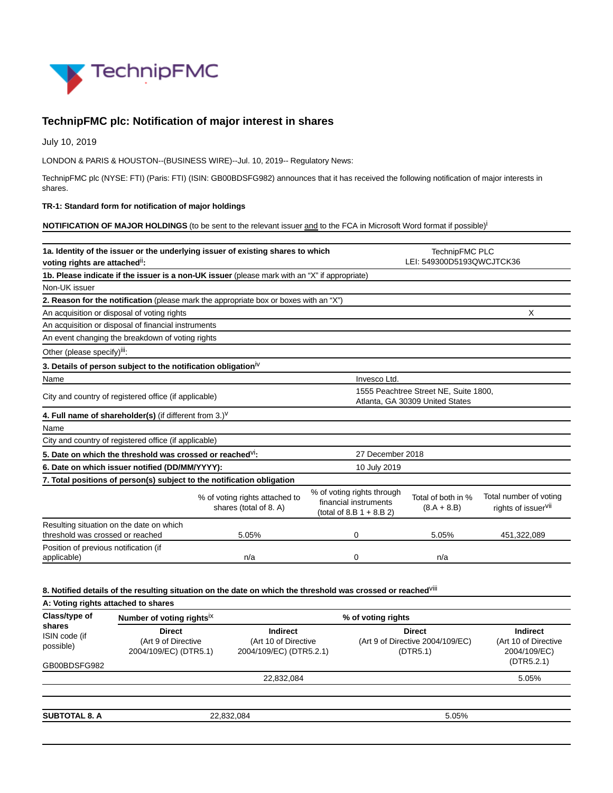

## **TechnipFMC plc: Notification of major interest in shares**

July 10, 2019

LONDON & PARIS & HOUSTON--(BUSINESS WIRE)--Jul. 10, 2019-- Regulatory News:

TechnipFMC plc (NYSE: FTI) (Paris: FTI) (ISIN: GB00BDSFG982) announces that it has received the following notification of major interests in shares.

## **TR-1: Standard form for notification of major holdings**

**A: Voting rights attached to shares**

**NOTIFICATION OF MAJOR HOLDINGS** (to be sent to the relevant issuer and to the FCA in Microsoft Word format if possible)<sup>i</sup>

|                                                          |                                                                                                                                                                                                                                                                                                                                                                                                                                                                           | <b>TechnipFMC PLC</b>                                                                                                                                                                                                                                                                     |                                                           |  |
|----------------------------------------------------------|---------------------------------------------------------------------------------------------------------------------------------------------------------------------------------------------------------------------------------------------------------------------------------------------------------------------------------------------------------------------------------------------------------------------------------------------------------------------------|-------------------------------------------------------------------------------------------------------------------------------------------------------------------------------------------------------------------------------------------------------------------------------------------|-----------------------------------------------------------|--|
|                                                          |                                                                                                                                                                                                                                                                                                                                                                                                                                                                           | LEI: 549300D5193QWCJTCK36                                                                                                                                                                                                                                                                 |                                                           |  |
|                                                          |                                                                                                                                                                                                                                                                                                                                                                                                                                                                           |                                                                                                                                                                                                                                                                                           |                                                           |  |
|                                                          |                                                                                                                                                                                                                                                                                                                                                                                                                                                                           |                                                                                                                                                                                                                                                                                           |                                                           |  |
|                                                          |                                                                                                                                                                                                                                                                                                                                                                                                                                                                           |                                                                                                                                                                                                                                                                                           |                                                           |  |
|                                                          |                                                                                                                                                                                                                                                                                                                                                                                                                                                                           |                                                                                                                                                                                                                                                                                           | X                                                         |  |
|                                                          |                                                                                                                                                                                                                                                                                                                                                                                                                                                                           |                                                                                                                                                                                                                                                                                           |                                                           |  |
|                                                          |                                                                                                                                                                                                                                                                                                                                                                                                                                                                           |                                                                                                                                                                                                                                                                                           |                                                           |  |
|                                                          |                                                                                                                                                                                                                                                                                                                                                                                                                                                                           |                                                                                                                                                                                                                                                                                           |                                                           |  |
|                                                          |                                                                                                                                                                                                                                                                                                                                                                                                                                                                           |                                                                                                                                                                                                                                                                                           |                                                           |  |
| Invesco Ltd.                                             |                                                                                                                                                                                                                                                                                                                                                                                                                                                                           |                                                                                                                                                                                                                                                                                           |                                                           |  |
| City and country of registered office (if applicable)    |                                                                                                                                                                                                                                                                                                                                                                                                                                                                           | 1555 Peachtree Street NE, Suite 1800,<br>Atlanta, GA 30309 United States                                                                                                                                                                                                                  |                                                           |  |
|                                                          |                                                                                                                                                                                                                                                                                                                                                                                                                                                                           |                                                                                                                                                                                                                                                                                           |                                                           |  |
|                                                          |                                                                                                                                                                                                                                                                                                                                                                                                                                                                           |                                                                                                                                                                                                                                                                                           |                                                           |  |
|                                                          |                                                                                                                                                                                                                                                                                                                                                                                                                                                                           |                                                                                                                                                                                                                                                                                           |                                                           |  |
|                                                          |                                                                                                                                                                                                                                                                                                                                                                                                                                                                           |                                                                                                                                                                                                                                                                                           |                                                           |  |
| 6. Date on which issuer notified (DD/MM/YYYY):           |                                                                                                                                                                                                                                                                                                                                                                                                                                                                           |                                                                                                                                                                                                                                                                                           |                                                           |  |
|                                                          |                                                                                                                                                                                                                                                                                                                                                                                                                                                                           |                                                                                                                                                                                                                                                                                           |                                                           |  |
| % of voting rights attached to<br>shares (total of 8. A) | % of voting rights through<br>financial instruments<br>(total of 8.B $1 + 8.B 2$ )                                                                                                                                                                                                                                                                                                                                                                                        | Total of both in %<br>$(8.A + 8.B)$                                                                                                                                                                                                                                                       | Total number of voting<br>rights of issuer <sup>vii</sup> |  |
| 5.05%                                                    | 0                                                                                                                                                                                                                                                                                                                                                                                                                                                                         | 5.05%                                                                                                                                                                                                                                                                                     | 451,322,089                                               |  |
| n/a                                                      | 0                                                                                                                                                                                                                                                                                                                                                                                                                                                                         | n/a                                                                                                                                                                                                                                                                                       |                                                           |  |
|                                                          | An acquisition or disposal of financial instruments<br>An event changing the breakdown of voting rights<br>3. Details of person subject to the notification obligation <sup>iv</sup><br>4. Full name of shareholder(s) (if different from $3.$ ) <sup>V</sup><br>City and country of registered office (if applicable)<br>5. Date on which the threshold was crossed or reached <sup>VI</sup> :<br>7. Total positions of person(s) subject to the notification obligation | 1a. Identity of the issuer or the underlying issuer of existing shares to which<br>1b. Please indicate if the issuer is a non-UK issuer (please mark with an "X" if appropriate)<br>2. Reason for the notification (please mark the appropriate box or boxes with an "X")<br>10 July 2019 | 27 December 2018                                          |  |

## **8. Notified details of the resulting situation on the date on which the threshold was crossed or reached**viii

| Class/type of<br>shares<br>ISIN code (if<br>possible)<br>GB00BDSFG982 | Number of voting rightsix                                     | % of voting rights                                                 |                                                               |                                                                       |  |
|-----------------------------------------------------------------------|---------------------------------------------------------------|--------------------------------------------------------------------|---------------------------------------------------------------|-----------------------------------------------------------------------|--|
|                                                                       | <b>Direct</b><br>(Art 9 of Directive<br>2004/109/EC) (DTR5.1) | <b>Indirect</b><br>(Art 10 of Directive<br>2004/109/EC) (DTR5.2.1) | <b>Direct</b><br>(Art 9 of Directive 2004/109/EC)<br>(DTR5.1) | <b>Indirect</b><br>(Art 10 of Directive<br>2004/109/EC)<br>(DTR5.2.1) |  |
|                                                                       |                                                               | 22,832,084                                                         |                                                               | 5.05%                                                                 |  |
|                                                                       |                                                               |                                                                    |                                                               |                                                                       |  |
| <b>SUBTOTAL 8. A</b>                                                  | 22,832,084                                                    |                                                                    | 5.05%                                                         |                                                                       |  |